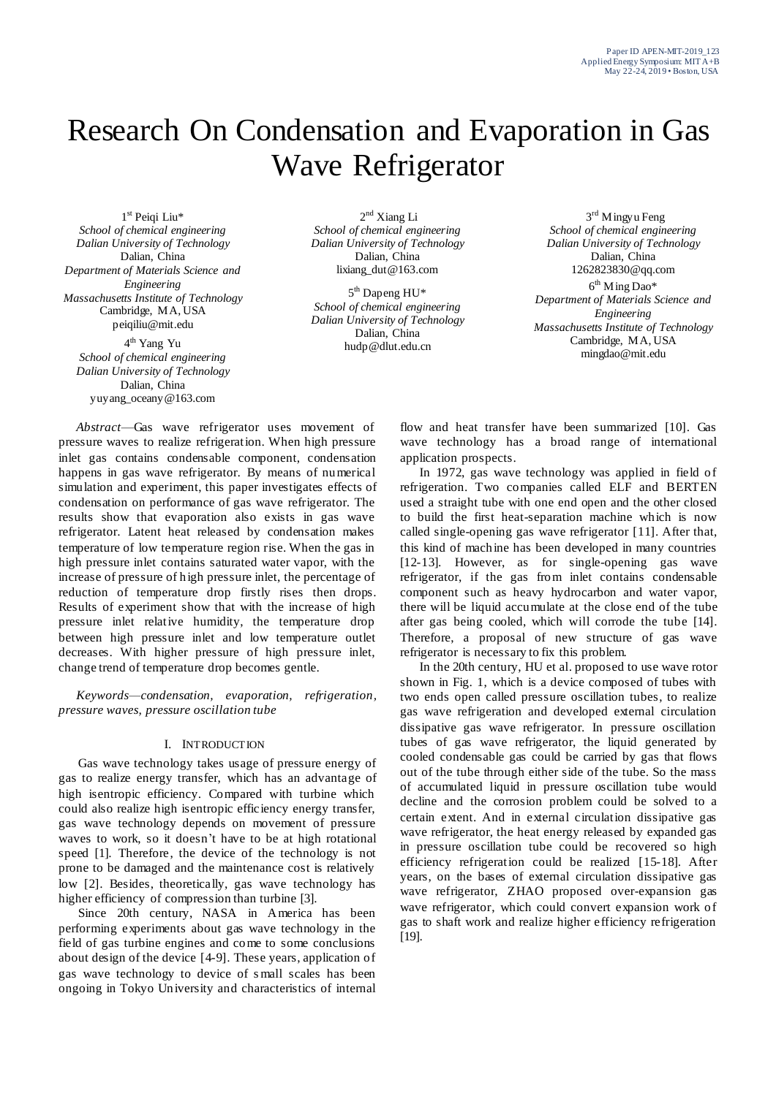# Research On Condensation and Evaporation in Gas Wave Refrigerator

1 st Peiqi Liu\* *School of chemical engineering Dalian University of Technology* Dalian, China *Department of Materials Science and Engineering Massachusetts Institute of Technology* Cambridge, MA, USA peiqiliu@mit.edu

4<sup>th</sup> Yang Yu *School of chemical engineering Dalian University of Technology* Dalian, China yuyang\_oceany@163.com

2<sup>nd</sup> Xiang Li *School of chemical engineering Dalian University of Technology* Dalian, China lixiang\_dut@163.com

5<sup>th</sup> Dapeng HU\* *School of chemical engineering Dalian University of Technology* Dalian, China hudp@dlut.edu.cn

3<sup>rd</sup> Mingyu Feng *School of chemical engineering Dalian University of Technology* Dalian, China 1262823830@qq.com  $6<sup>th</sup>$  Ming Dao\* *Department of Materials Science and Engineering Massachusetts Institute of Technology* Cambridge, MA, USA mingdao@mit.edu

*Abstract*—Gas wave refrigerator uses movement of pressure waves to realize refrigeration. When high pressure inlet gas contains condensable component, condensation happens in gas wave refrigerator. By means of numerical simulation and experiment, this paper investigates effects of condensation on performance of gas wave refrigerator. The results show that evaporation also exists in gas wave refrigerator. Latent heat released by condensation makes temperature of low temperature region rise. When the gas in high pressure inlet contains saturated water vapor, with the increase of pressure of high pressure inlet, the percentage of reduction of temperature drop firstly rises then drops. Results of experiment show that with the increase of high pressure inlet relative humidity, the temperature drop between high pressure inlet and low temperature outlet decreases. With higher pressure of high pressure inlet, change trend of temperature drop becomes gentle.

*Keywords—condensation, evaporation, refrigeration, pressure waves, pressure oscillation tube*

### I. INTRODUCTION

Gas wave technology takes usage of pressure energy of gas to realize energy transfer, which has an advantage of high isentropic efficiency. Compared with turbine which could also realize high isentropic efficiency energy transfer, gas wave technology depends on movement of pressure waves to work, so it doesn't have to be at high rotational speed [1]. Therefore, the device of the technology is not prone to be damaged and the maintenance cost is relatively low [2]. Besides, theoretically, gas wave technology has higher efficiency of compression than turbine [3].

Since 20th century, NASA in America has been performing experiments about gas wave technology in the field of gas turbine engines and come to some conclusions about design of the device [4-9]. These years, application of gas wave technology to device of s mall scales has been ongoing in Tokyo University and characteristics of internal

flow and heat transfer have been summarized [10]. Gas wave technology has a broad range of international application prospects.

In 1972, gas wave technology was applied in field of refrigeration. Two companies called ELF and BERTEN used a straight tube with one end open and the other closed to build the first heat-separation machine which is now called single-opening gas wave refrigerator [11]. After that, this kind of machine has been developed in many countries [12-13]. However, as for single-opening gas wave refrigerator, if the gas from inlet contains condensable component such as heavy hydrocarbon and water vapor, there will be liquid accumulate at the close end of the tube after gas being cooled, which will corrode the tube [14]. Therefore, a proposal of new structure of gas wave refrigerator is necessary to fix this problem.

In the 20th century, HU et al. proposed to use wave rotor shown in Fig. 1, which is a device composed of tubes with two ends open called pressure oscillation tubes, to realize gas wave refrigeration and developed external circulation dissipative gas wave refrigerator. In pressure oscillation tubes of gas wave refrigerator, the liquid generated by cooled condensable gas could be carried by gas that flows out of the tube through either side of the tube. So the mass of accumulated liquid in pressure oscillation tube would decline and the corrosion problem could be solved to a certain extent. And in external circulation dissipative gas wave refrigerator, the heat energy released by expanded gas in pressure oscillation tube could be recovered so high efficiency refrigeration could be realized [15-18]. After years, on the bases of external circulation dissipative gas wave refrigerator, ZHAO proposed over-expansion gas wave refrigerator, which could convert expansion work of gas to shaft work and realize higher efficiency refrigeration [19].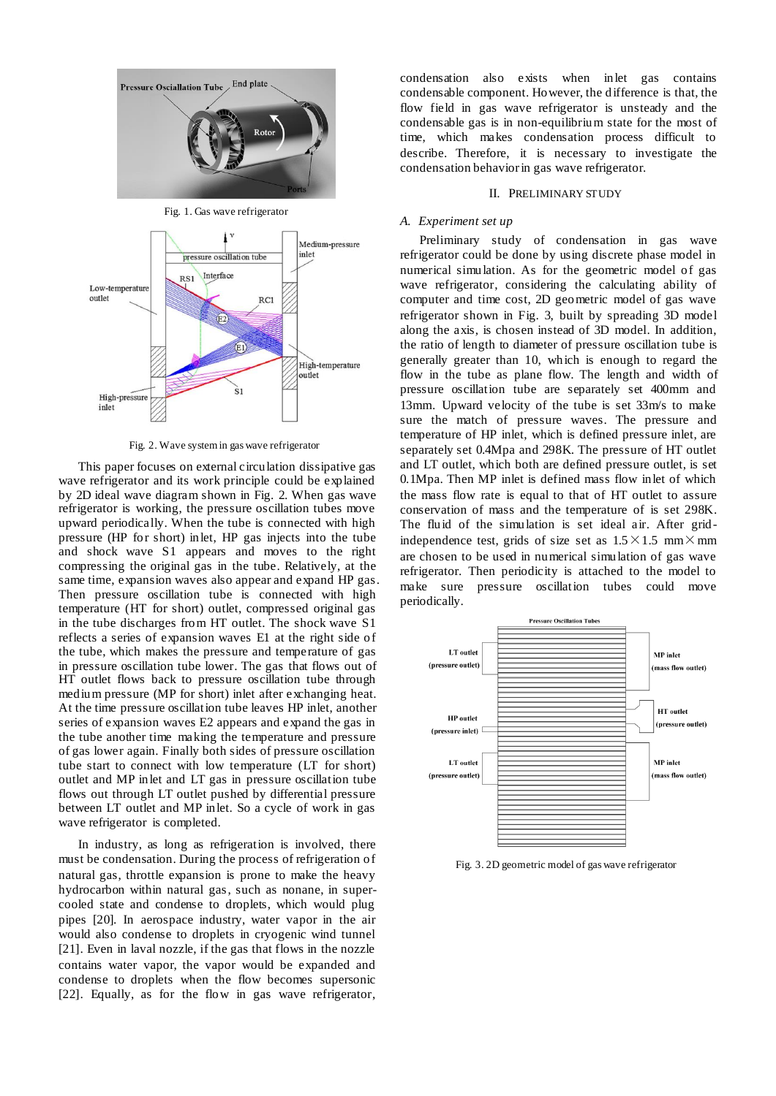

Fig. 1. Gas wave refrigerator



Fig. 2. Wave systemin gas wave refrigerator

This paper focuses on external circulation dissipative gas wave refrigerator and its work principle could be explained by 2D ideal wave diagram shown in Fig. 2. When gas wave refrigerator is working, the pressure oscillation tubes move upward periodically. When the tube is connected with high pressure (HP for short) inlet, HP gas injects into the tube and shock wave S1 appears and moves to the right compressing the original gas in the tube. Relatively, at the same time, expansion waves also appear and expand HP gas. Then pressure oscillation tube is connected with high temperature (HT for short) outlet, compressed original gas in the tube discharges from HT outlet. The shock wave S1 reflects a series of expansion waves E1 at the right side of the tube, which makes the pressure and temperature of gas in pressure oscillation tube lower. The gas that flows out of HT outlet flows back to pressure oscillation tube through medium pressure (MP for short) inlet after exchanging heat. At the time pressure oscillation tube leaves HP inlet, another series of expansion waves E2 appears and expand the gas in the tube another time making the temperature and pressure of gas lower again. Finally both sides of pressure oscillation tube start to connect with low temperature (LT for short) outlet and MP inlet and LT gas in pressure oscillation tube flows out through LT outlet pushed by differential pressure between LT outlet and MP inlet. So a cycle of work in gas wave refrigerator is completed.

In industry, as long as refrigeration is involved, there must be condensation. During the process of refrigeration of natural gas, throttle expansion is prone to make the heavy hydrocarbon within natural gas, such as nonane, in supercooled state and condense to droplets, which would plug pipes [20]. In aerospace industry, water vapor in the air would also condense to droplets in cryogenic wind tunnel [21]. Even in laval nozzle, if the gas that flows in the nozzle contains water vapor, the vapor would be expanded and condense to droplets when the flow becomes supersonic [22]. Equally, as for the flow in gas wave refrigerator,

condensation also exists when inlet gas contains condensable component. However, the difference is that, the flow field in gas wave refrigerator is unsteady and the condensable gas is in non-equilibrium state for the most of time, which makes condensation process difficult to describe. Therefore, it is necessary to investigate the condensation behavior in gas wave refrigerator.

#### II. PRELIMINARY STUDY

## *A. Experiment set up*

Preliminary study of condensation in gas wave refrigerator could be done by using discrete phase model in numerical simulation. As for the geometric model of gas wave refrigerator, considering the calculating ability of computer and time cost, 2D geometric model of gas wave refrigerator shown in Fig. 3, built by spreading 3D model along the axis, is chosen instead of 3D model. In addition, the ratio of length to diameter of pressure oscillation tube is generally greater than 10, which is enough to regard the flow in the tube as plane flow. The length and width of pressure oscillation tube are separately set 400mm and 13mm. Upward velocity of the tube is set 33m/s to make sure the match of pressure waves. The pressure and temperature of HP inlet, which is defined pressure inlet, are separately set 0.4Mpa and 298K. The pressure of HT outlet and LT outlet, which both are defined pressure outlet, is set 0.1Mpa. Then MP inlet is defined mass flow inlet of which the mass flow rate is equal to that of HT outlet to assure conservation of mass and the temperature of is set 298K. The fluid of the simulation is set ideal air. After grid independence test, grids of size set as  $1.5 \times 1.5$  mm $\times$ mm are chosen to be used in numerical simulation of gas wave refrigerator. Then periodicity is attached to the model to make sure pressure oscillation tubes could move periodically.



Fig. 3. 2D geometric model of gas wave refrigerator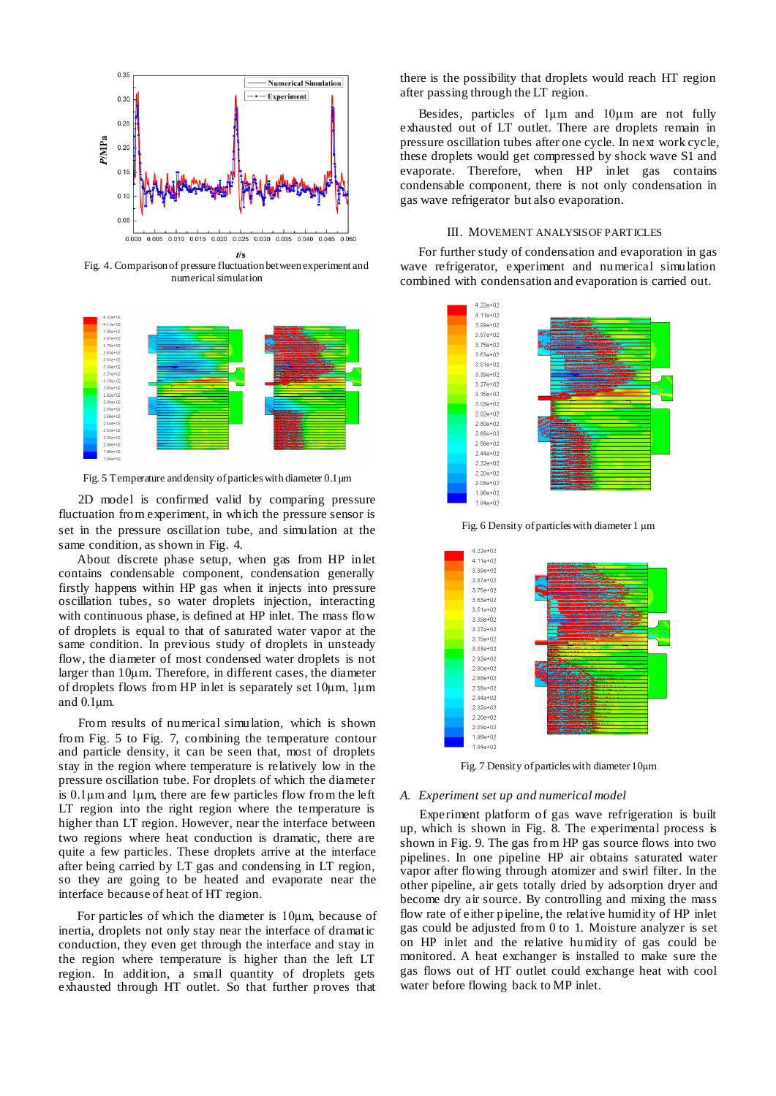

Fig. 4. Comparison of pressure fluctuation between experiment and numerical simulation



Fig. 5 Temperature and density of particles with diameter 0.1μm

2D model is confirmed valid by comparing pressure fluctuation from experiment, in which the pressure sensor is set in the pressure oscillation tube, and simulation at the same condition, as shown in Fig. 4.

About discrete phase setup, when gas from HP inlet contains condensable component, condensation generally firstly happens within HP gas when it injects into pressure oscillation tubes, so water droplets injection, interacting with continuous phase, is defined at HP inlet. The mass flow of droplets is equal to that of saturated water vapor at the same condition. In previous study of droplets in unsteady flow, the diameter of most condensed water droplets is not larger than 10μm. Therefore, in different cases, the diameter of droplets flows from HP inlet is separately set 10μm, 1μm and 0.1μm.

From results of numerical simulation, which is shown from Fig. 5 to Fig. 7, combining the temperature contour and particle density, it can be seen that, most of droplets stay in the region where temperature is relatively low in the pressure oscillation tube. For droplets of which the diameter is  $0.1\mu$ m and  $1\mu$ m, there are few particles flow from the left LT region into the right region where the temperature is higher than LT region. However, near the interface between two regions where heat conduction is dramatic, there are quite a few particles. These droplets arrive at the interface after being carried by LT gas and condensing in LT region, so they are going to be heated and evaporate near the interface because of heat of HT region.

For particles of which the diameter is 10μm, because of inertia, droplets not only stay near the interface of dramatic conduction, they even get through the interface and stay in the region where temperature is higher than the left LT region. In addition, a small quantity of droplets gets exhausted through HT outlet. So that further proves that

there is the possibility that droplets would reach HT region after passing through the LT region.

Besides, particles of 1μm and 10μm are not fully exhausted out of LT outlet. There are droplets remain in pressure oscillation tubes after one cycle. In next work cycle, these droplets would get compressed by shock wave S1 and evaporate. Therefore, when HP inlet gas contains condensable component, there is not only condensation in gas wave refrigerator but also evaporation.

## III. MOVEMENT ANALYSIS OF PARTICLES

For further study of condensation and evaporation in gas wave refrigerator, experiment and numerical simulation combined with condensation and evaporation is carried out.



Fig. 6 Density of particles with diameter 1 μm



Fig. 7 Density of particles with diameter 10μm

#### *A. Experiment set up and numerical model*

Experiment platform of gas wave refrigeration is built up, which is shown in Fig. 8. The experimental process is shown in Fig. 9. The gas from HP gas source flows into two pipelines. In one pipeline HP air obtains saturated water vapor after flowing through atomizer and swirl filter. In the other pipeline, air gets totally dried by adsorption dryer and become dry air source. By controlling and mixing the mass flow rate of either pipeline, the relative humidity of HP inlet gas could be adjusted from 0 to 1. Moisture analyzer is set on HP inlet and the relative humidity of gas could be monitored. A heat exchanger is installed to make sure the gas flows out of HT outlet could exchange heat with cool water before flowing back to MP inlet.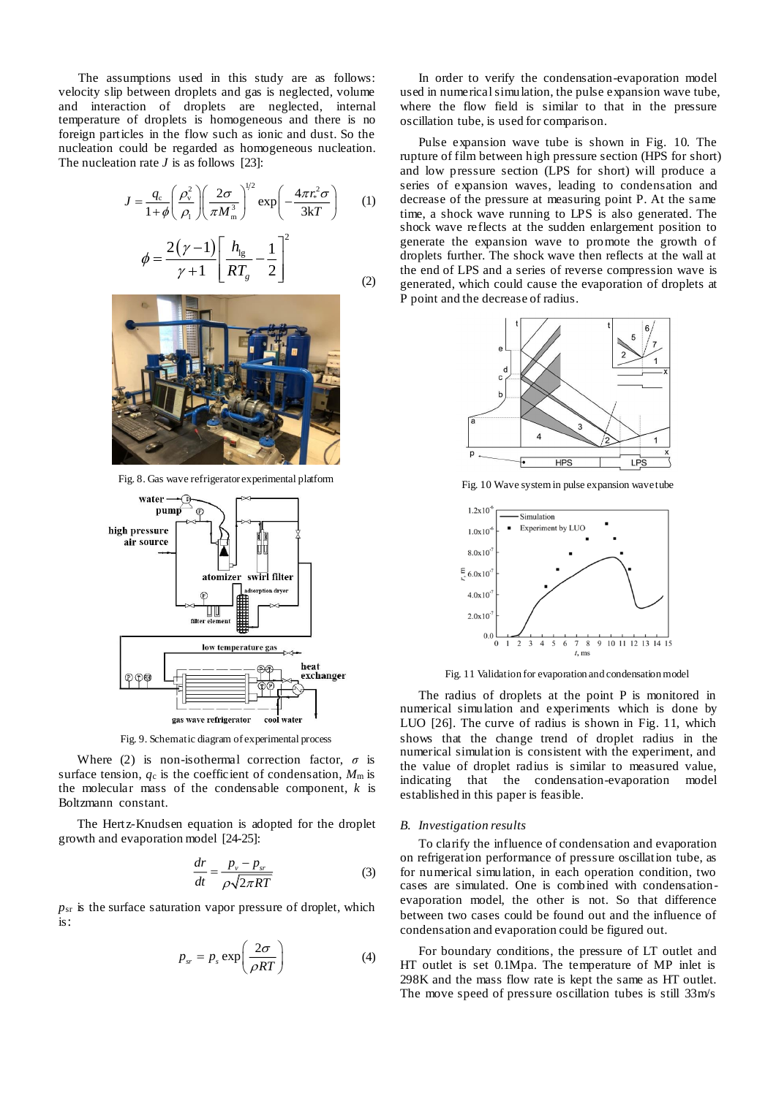The assumptions used in this study are as follows: velocity slip between droplets and gas is neglected, volume and interaction of droplets are neglected, internal temperature of droplets is homogeneous and there is no foreign particles in the flow such as ionic and dust. So the nucleation could be regarded as homogeneous nucleation. The nucleation rate *J* is as follows [23]:

$$
J = \frac{q_c}{1+\phi} \left(\frac{\rho_v^2}{\rho_1}\right) \left(\frac{2\sigma}{\pi M_m^3}\right)^{1/2} \exp\left(-\frac{4\pi r_*^2 \sigma}{3kT}\right) \qquad (1)
$$

$$
\phi = \frac{2(\gamma - 1)}{\gamma + 1} \left[\frac{h_{\rm lg}}{RT_g} - \frac{1}{2}\right]^2 \qquad (2)
$$



Fig. 8. Gas wave refrigerator experimental platform



Fig. 9. Schematic diagram of experimental process

Where (2) is non-isothermal correction factor,  $\sigma$  is surface tension,  $q_c$  is the coefficient of condensation,  $M_m$  is the molecular mass of the condensable component, *k* is Boltzmann constant.

The Hertz-Knudsen equation is adopted for the droplet growth and evaporation model [24-25]:

$$
\frac{dr}{dt} = \frac{p_v - p_{sr}}{\rho \sqrt{2\pi RT}}\tag{3}
$$

 $p_{sr}$  is the surface saturation vapor pressure of droplet, which is:

$$
p_{sr} = p_s \exp\left(\frac{2\sigma}{\rho RT}\right) \tag{4}
$$

In order to verify the condensation-evaporation model used in numerical simulation, the pulse expansion wave tube, where the flow field is similar to that in the pressure oscillation tube, is used for comparison.

Pulse expansion wave tube is shown in Fig. 10. The rupture of film between high pressure section (HPS for short) and low pressure section (LPS for short) will produce a series of expansion waves, leading to condensation and decrease of the pressure at measuring point P. At the same time, a shock wave running to LPS is also generated. The shock wave reflects at the sudden enlargement position to generate the expansion wave to promote the growth of droplets further. The shock wave then reflects at the wall at the end of LPS and a series of reverse compression wave is generated, which could cause the evaporation of droplets at P point and the decrease of radius.



Fig. 10 Wave systemin pulse expansion wave tube



Fig. 11 Validation for evaporation and condensation model

The radius of droplets at the point P is monitored in numerical simulation and experiments which is done by LUO [26]. The curve of radius is shown in Fig. 11, which shows that the change trend of droplet radius in the numerical simulation is consistent with the experiment, and the value of droplet radius is similar to measured value, indicating that the condensation-evaporation model established in this paper is feasible.

### *B. Investigation results*

To clarify the influence of condensation and evaporation on refrigeration performance of pressure oscillation tube, as for numerical simulation, in each operation condition, two cases are simulated. One is combined with condensationevaporation model, the other is not. So that difference between two cases could be found out and the influence of condensation and evaporation could be figured out.

For boundary conditions, the pressure of LT outlet and HT outlet is set 0.1Mpa. The temperature of MP inlet is 298K and the mass flow rate is kept the same as HT outlet. The move speed of pressure oscillation tubes is still 33m/s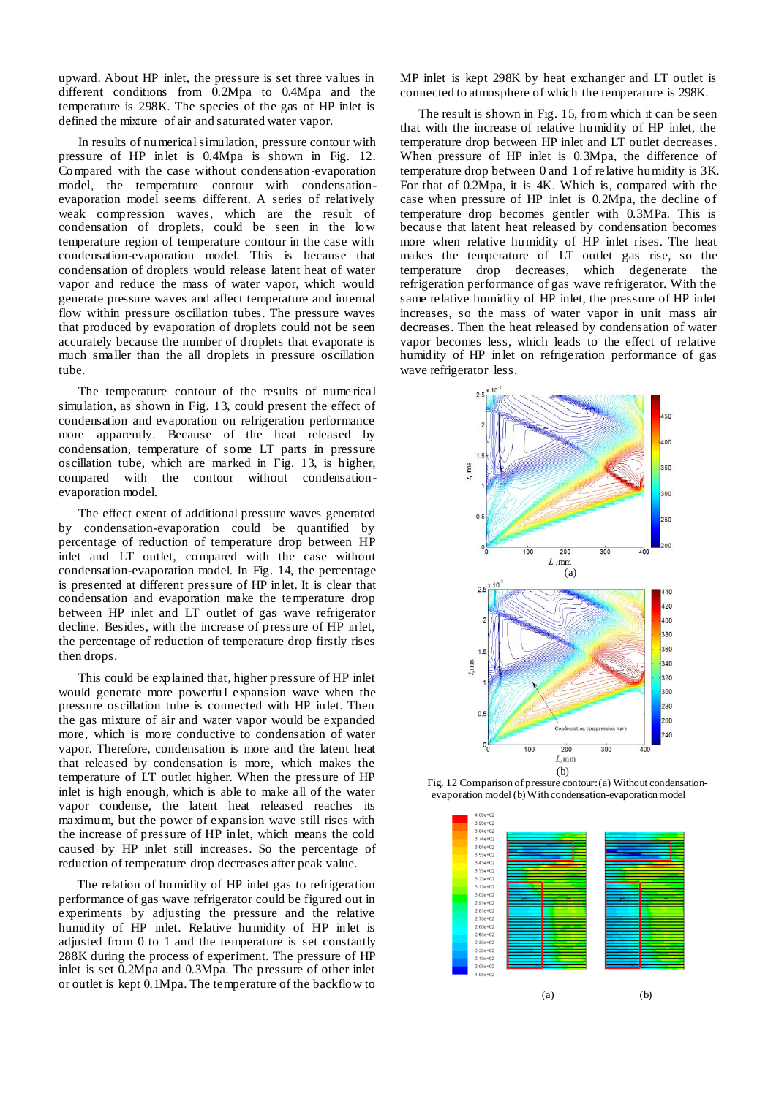upward. About HP inlet, the pressure is set three values in different conditions from 0.2Mpa to 0.4Mpa and the temperature is 298K. The species of the gas of HP inlet is defined the mixture of air and saturated water vapor.

In results of numerical simulation, pressure contour with pressure of HP inlet is 0.4Mpa is shown in Fig. 12. Compared with the case without condensation-evaporation model, the temperature contour with condensationevaporation model seems different. A series of relatively weak compression waves, which are the result of condensation of droplets, could be seen in the low temperature region of temperature contour in the case with condensation-evaporation model. This is because that condensation of droplets would release latent heat of water vapor and reduce the mass of water vapor, which would generate pressure waves and affect temperature and internal flow within pressure oscillation tubes. The pressure waves that produced by evaporation of droplets could not be seen accurately because the number of droplets that evaporate is much smaller than the all droplets in pressure oscillation tube.

The temperature contour of the results of nume rical simulation, as shown in Fig. 13, could present the effect of condensation and evaporation on refrigeration performance more apparently. Because of the heat released by condensation, temperature of some LT parts in pressure oscillation tube, which are marked in Fig. 13, is higher, compared with the contour without condensationevaporation model.

The effect extent of additional pressure waves generated by condensation-evaporation could be quantified by percentage of reduction of temperature drop between HP inlet and LT outlet, compared with the case without condensation-evaporation model. In Fig. 14, the percentage is presented at different pressure of HP inlet. It is clear that condensation and evaporation make the temperature drop between HP inlet and LT outlet of gas wave refrigerator decline. Besides, with the increase of pressure of HP inlet, the percentage of reduction of temperature drop firstly rises then drops.

This could be explained that, higher pressure of HP inlet would generate more powerful expansion wave when the pressure oscillation tube is connected with HP inlet. Then the gas mixture of air and water vapor would be expanded more, which is more conductive to condensation of water vapor. Therefore, condensation is more and the latent heat that released by condensation is more, which makes the temperature of LT outlet higher. When the pressure of HP inlet is high enough, which is able to make all of the water vapor condense, the latent heat released reaches its maximum, but the power of expansion wave still rises with the increase of pressure of HP inlet, which means the cold caused by HP inlet still increases. So the percentage of reduction of temperature drop decreases after peak value.

The relation of humidity of HP inlet gas to refrigeration performance of gas wave refrigerator could be figured out in experiments by adjusting the pressure and the relative humidity of HP inlet. Relative humidity of HP inlet is adjusted from 0 to 1 and the temperature is set constantly 288K during the process of experiment. The pressure of HP inlet is set 0.2Mpa and 0.3Mpa. The pressure of other inlet or outlet is kept 0.1Mpa. The temperature of the backflow to

MP inlet is kept 298K by heat exchanger and LT outlet is connected to atmosphere of which the temperature is 298K.

The result is shown in Fig. 15, from which it can be seen that with the increase of relative humidity of HP inlet, the temperature drop between HP inlet and LT outlet decreases. When pressure of HP inlet is 0.3Mpa, the difference of temperature drop between 0 and 1 of relative humidity is 3K. For that of 0.2Mpa, it is 4K. Which is, compared with the case when pressure of HP inlet is 0.2Mpa, the decline of temperature drop becomes gentler with 0.3MPa. This is because that latent heat released by condensation becomes more when relative humidity of HP inlet rises. The heat makes the temperature of LT outlet gas rise, so the temperature drop decreases, which degenerate the refrigeration performance of gas wave refrigerator. With the same relative humidity of HP inlet, the pressure of HP inlet increases, so the mass of water vapor in unit mass air decreases. Then the heat released by condensation of water vapor becomes less, which leads to the effect of relative humidity of HP inlet on refrigeration performance of gas wave refrigerator less.



Fig. 12 Comparison of pressure contour: (a) Without condensationevaporation model (b) With condensation-evaporation model

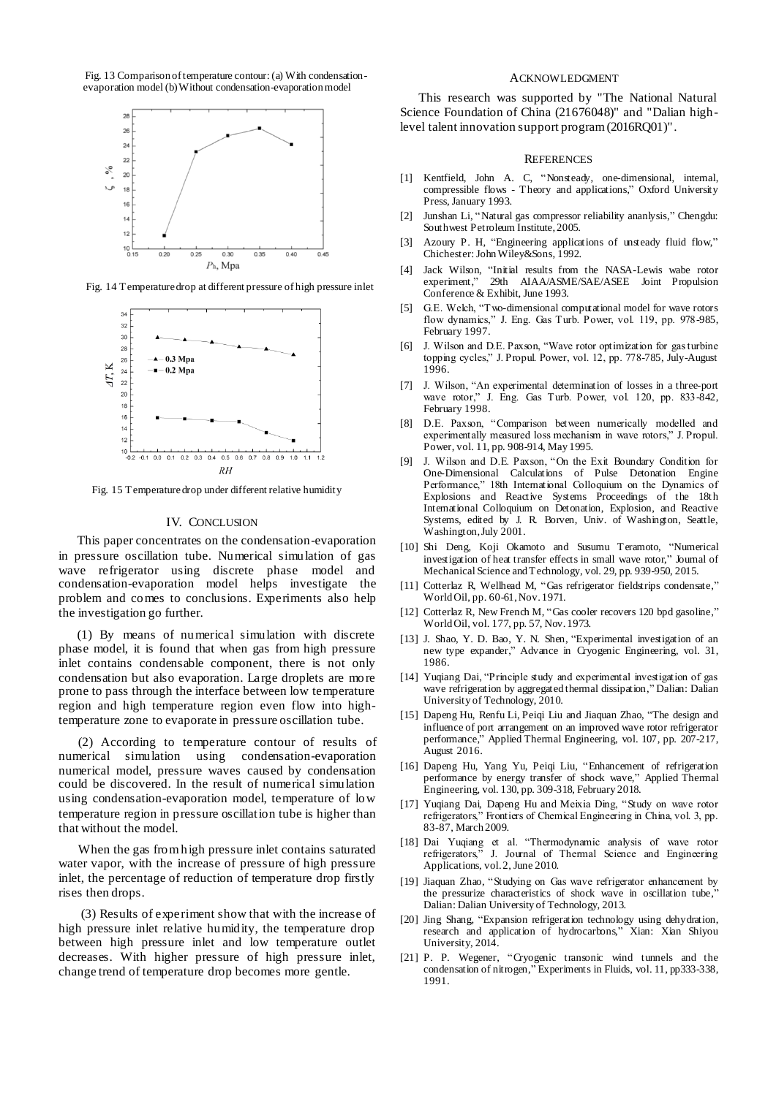Fig. 13 Comparison of temperature contour: (a) With condensationevaporation model (b) Without condensation-evaporation model



Fig. 14 Temperature drop at different pressure of high pressure inlet



Fig. 15 Temperature drop under different relative humidity

## IV. CONCLUSION

This paper concentrates on the condensation-evaporation in pressure oscillation tube. Numerical simulation of gas wave refrigerator using discrete phase model and condensation-evaporation model helps investigate the problem and comes to conclusions. Experiments also help the investigation go further.

(1) By means of numerical simulation with discrete phase model, it is found that when gas from high pressure inlet contains condensable component, there is not only condensation but also evaporation. Large droplets are more prone to pass through the interface between low temperature region and high temperature region even flow into hightemperature zone to evaporate in pressure oscillation tube.

(2) According to temperature contour of results of numerical simulation using condensation-evaporation numerical model, pressure waves caused by condensation could be discovered. In the result of numerical simulation using condensation-evaporation model, temperature of low temperature region in pressure oscillation tube is higher than that without the model.

When the gas fromhigh pressure inlet contains saturated water vapor, with the increase of pressure of high pressure inlet, the percentage of reduction of temperature drop firstly rises then drops.

(3) Results of experiment show that with the increase of high pressure inlet relative humidity, the temperature drop between high pressure inlet and low temperature outlet decreases. With higher pressure of high pressure inlet, change trend of temperature drop becomes more gentle.

## ACKNOWLEDGMENT

This research was supported by "The National Natural Science Foundation of China (21676048)" and "Dalian highlevel talent innovation support program (2016RQ01)" .

#### **REFERENCES**

- [1] Kentfield, John A. C, "Nonsteady, one-dimensional, internal, compressible flows - Theory and applications," Oxford University Press, January 1993.
- [2] Junshan Li, "Natural gas compressor reliability ananlysis," Chengdu: Southwest Petroleum Institute, 2005.
- [3] Azoury P. H, "Engineering applications of unsteady fluid flow," Chichester: John Wiley&Sons, 1992.
- [4] Jack Wilson, "Initial results from the NASA-Lewis wabe rotor experiment," 29th AIAA/ASME/SAE/ASEE Joint Propulsion Conference & Exhibit, June 1993.
- [5] G.E. Welch, "Two-dimensional computational model for wave rotors flow dynamics," J. Eng. Gas Turb. Power, vol. 119, pp. 978-985, February 1997.
- [6] J. Wilson and D.E. Paxson, "Wave rotor optimization for gas turbine topping cycles," J. Propul. Power, vol. 12, pp. 778-785, July-August 1996.
- [7] J. Wilson, "An experimental determination of losses in a three-port wave rotor," J. Eng. Gas Turb. Power, vol. 120, pp. 833-842, February 1998.
- [8] D.E. Paxson, "Comparison between numerically modelled and experimentally measured loss mechanism in wave rotors," J. Propul. Power, vol. 11, pp. 908-914, May 1995.
- [9] J. Wilson and D.E. Paxson, "On the Exit Boundary Condition for One-Dimensional Calculations of Pulse Detonation Engine Performance," 18th International Colloquium on the Dynamics of Explosions and Reactive Systems Proceedings of the 18th International Colloquium on Detonation, Explosion, and Reactive Systems, edited by J. R. Borven, Univ. of Washington, Seattle, Washington, July 2001.
- [10] Shi Deng, Koji Okamoto and Susumu Teramoto, "Numerical investigation of heat transfer effects in small wave rotor," Journal of Mechanical Science and Technology, vol. 29, pp. 939-950, 2015.
- [11] Cotterlaz R, Wellhead M, "Gas refrigerator fieldstrips condensate," World Oil, pp. 60-61, Nov. 1971.
- [12] Cotterlaz R, New French M, "Gas cooler recovers 120 bpd gasoline," World Oil, vol. 177, pp. 57, Nov. 1973.
- [13] J. Shao, Y. D. Bao, Y. N. Shen, "Experimental investigation of an new type expander," Advance in Cryogenic Engineering, vol. 31, 1986.
- [14] Yuqiang Dai, "Principle study and experimental investigation of gas wave refrigeration by aggregated thermal dissipation," Dalian: Dalian University of Technology, 2010.
- [15] Dapeng Hu, Renfu Li, Peiqi Liu and Jiaquan Zhao, "The design and influence of port arrangement on an improved wave rotor refrigerator performance," Applied Thermal Engineering, vol. 107, pp. 207-217, August 2016.
- [16] Dapeng Hu, Yang Yu, Peiqi Liu, "Enhancement of refrigeration performance by energy transfer of shock wave," Applied Thermal Engineering, vol. 130, pp. 309-318, February 2018.
- [17] Yuqiang Dai, Dapeng Hu and Meixia Ding, "Study on wave rotor refrigerators," Frontiers of Chemical Engineering in China, vol. 3, pp. 83-87, March 2009.
- [18] Dai Yuqiang et al. "Thermodynamic analysis of wave rotor refrigerators," J. Journal of Thermal Science and Engineering Applications, vol. 2, June 2010.
- [19] Jiaquan Zhao, "Studying on Gas wave refrigerator enhancement by the pressurize characteristics of shock wave in oscillation tube, Dalian: Dalian University of Technology, 2013.
- [20] Jing Shang, "Expansion refrigeration technology using dehydration, research and application of hydrocarbons," Xian: Xian Shiyou University, 2014.
- [21] P. P. Wegener, "Cryogenic transonic wind tunnels and the condensation of nitrogen," Experiments in Fluids, vol. 11, pp333-338, 1991.